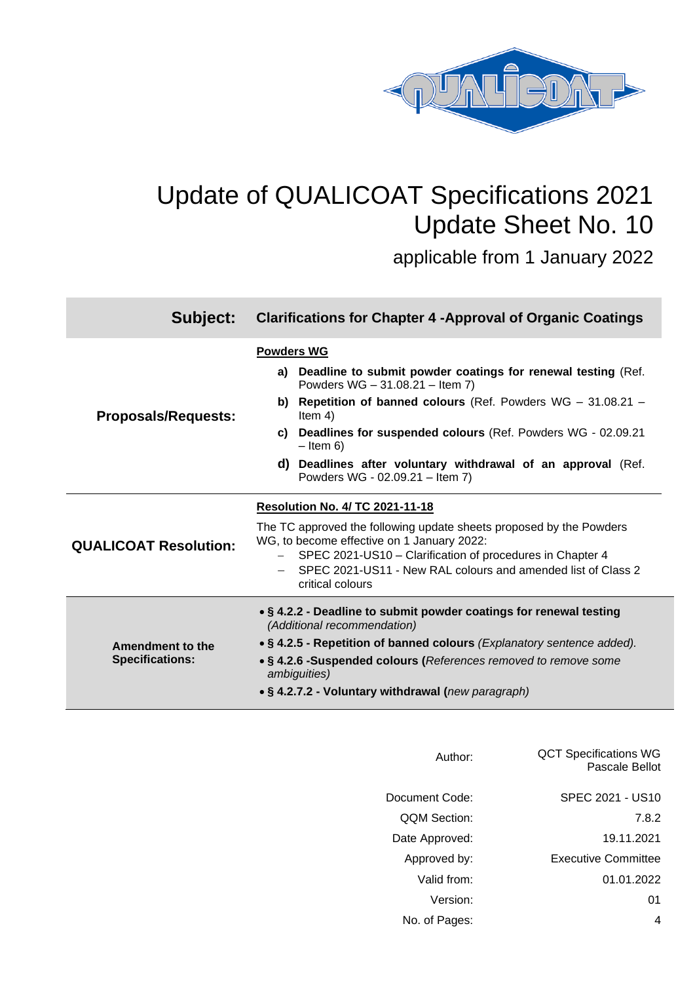

# Update of QUALICOAT Specifications 2021 Update Sheet No. 10

applicable from 1 January 2022

| Subject:                     | <b>Clarifications for Chapter 4 - Approval of Organic Coatings</b>                                                |  |  |  |
|------------------------------|-------------------------------------------------------------------------------------------------------------------|--|--|--|
|                              | <b>Powders WG</b>                                                                                                 |  |  |  |
|                              | a) Deadline to submit powder coatings for renewal testing (Ref.<br>Powders WG - 31.08.21 - Item 7)                |  |  |  |
| <b>Proposals/Requests:</b>   | b) Repetition of banned colours (Ref. Powders $WG - 31.08.21 -$<br>Item $4)$                                      |  |  |  |
|                              | c) Deadlines for suspended colours (Ref. Powders WG - 02.09.21<br>$-$ Item 6)                                     |  |  |  |
|                              | d) Deadlines after voluntary withdrawal of an approval (Ref.<br>Powders WG - 02.09.21 - Item 7)                   |  |  |  |
|                              | <b>Resolution No. 4/ TC 2021-11-18</b>                                                                            |  |  |  |
| <b>QUALICOAT Resolution:</b> | The TC approved the following update sheets proposed by the Powders<br>WG, to become effective on 1 January 2022: |  |  |  |
|                              | SPEC 2021-US10 – Clarification of procedures in Chapter 4                                                         |  |  |  |
|                              | SPEC 2021-US11 - New RAL colours and amended list of Class 2<br>critical colours                                  |  |  |  |
|                              | • § 4.2.2 - Deadline to submit powder coatings for renewal testing<br>(Additional recommendation)                 |  |  |  |
| Amendment to the             | • § 4.2.5 - Repetition of banned colours (Explanatory sentence added).                                            |  |  |  |
| <b>Specifications:</b>       | • § 4.2.6 -Suspended colours (References removed to remove some<br>ambiguities)                                   |  |  |  |
|                              | • § 4.2.7.2 - Voluntary withdrawal (new paragraph)                                                                |  |  |  |

| Author:             | <b>QCT Specifications WG</b><br>Pascale Bellot |
|---------------------|------------------------------------------------|
| Document Code:      | SPEC 2021 - US10                               |
| <b>QQM Section:</b> | 7.8.2                                          |
| Date Approved:      | 19.11.2021                                     |
| Approved by:        | <b>Executive Committee</b>                     |
| Valid from:         | 01.01.2022                                     |
| Version:            | 01                                             |
| No. of Pages:       | 4                                              |
|                     |                                                |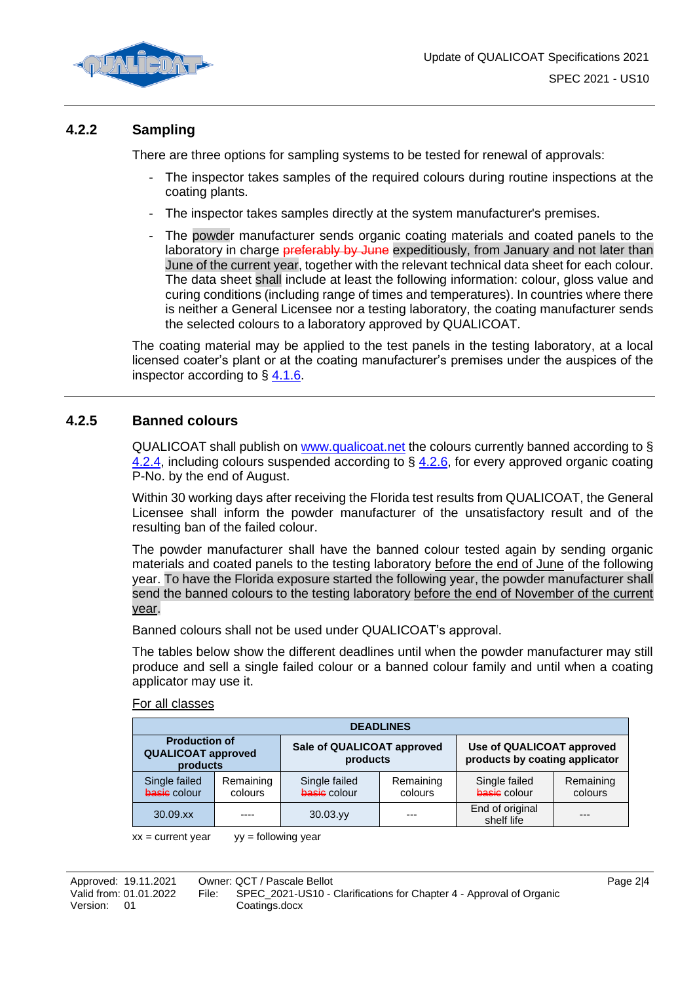

## **4.2.2 Sampling**

There are three options for sampling systems to be tested for renewal of approvals:

- The inspector takes samples of the required colours during routine inspections at the coating plants.
- The inspector takes samples directly at the system manufacturer's premises.
- The powder manufacturer sends organic coating materials and coated panels to the laboratory in charge **preferably by June** expeditiously, from January and not later than June of the current year, together with the relevant technical data sheet for each colour. The data sheet shall include at least the following information: colour, gloss value and curing conditions (including range of times and temperatures). In countries where there is neither a General Licensee nor a testing laboratory, the coating manufacturer sends the selected colours to a laboratory approved by QUALICOAT.

The coating material may be applied to the test panels in the testing laboratory, at a local licensed coater's plant or at the coating manufacturer's premises under the auspices of the inspector according to  $\S$  4.1.6.

## **4.2.5 Banned colours**

QUALICOAT shall publish on [www.qualicoat.net](http://www.qualicoat.net/) the colours currently banned according to § 4.2.4, including colours suspended according to  $\S$  [4.2.6,](#page-2-0) for every approved organic coating P-No. by the end of August.

Within 30 working days after receiving the Florida test results from QUALICOAT, the General Licensee shall inform the powder manufacturer of the unsatisfactory result and of the resulting ban of the failed colour.

The powder manufacturer shall have the banned colour tested again by sending organic materials and coated panels to the testing laboratory before the end of June of the following year. To have the Florida exposure started the following year, the powder manufacturer shall send the banned colours to the testing laboratory before the end of November of the current year.

Banned colours shall not be used under QUALICOAT's approval.

The tables below show the different deadlines until when the powder manufacturer may still produce and sell a single failed colour or a banned colour family and until when a coating applicator may use it.

#### For all classes

| <b>DEADLINES</b>                                              |                      |                                        |                      |                                                             |                      |
|---------------------------------------------------------------|----------------------|----------------------------------------|----------------------|-------------------------------------------------------------|----------------------|
| <b>Production of</b><br><b>QUALICOAT approved</b><br>products |                      | Sale of QUALICOAT approved<br>products |                      | Use of QUALICOAT approved<br>products by coating applicator |                      |
| Single failed<br>basis colour                                 | Remaining<br>colours | Single failed<br>basis colour          | Remaining<br>colours | Single failed<br>basis colour                               | Remaining<br>colours |
| $30.09$ . $xx$                                                |                      | $30.03$ .yy                            | ---                  | End of original<br>shelf life                               | ---                  |

 $xx =$  current year  $yy =$  following year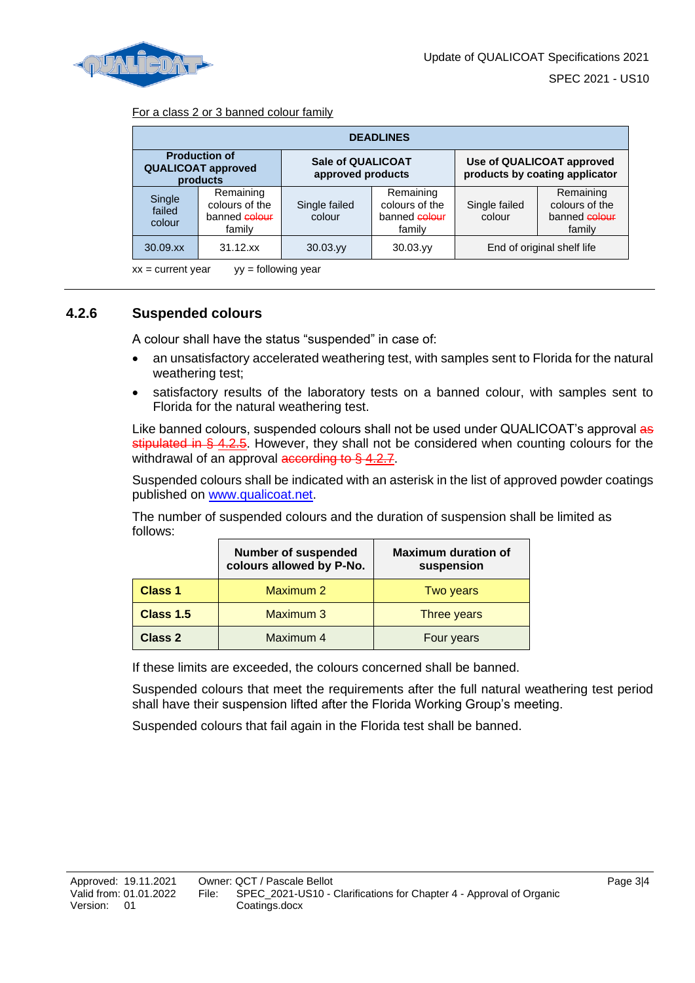

#### For a class 2 or 3 banned colour family

| <b>DEADLINES</b>           |                                                               |                                               |                                                        |                                                             |                                                        |
|----------------------------|---------------------------------------------------------------|-----------------------------------------------|--------------------------------------------------------|-------------------------------------------------------------|--------------------------------------------------------|
|                            | <b>Production of</b><br><b>QUALICOAT approved</b><br>products | <b>Sale of QUALICOAT</b><br>approved products |                                                        | Use of QUALICOAT approved<br>products by coating applicator |                                                        |
| Single<br>failed<br>colour | Remaining<br>colours of the<br>banned colour<br>family        | Single failed<br>colour                       | Remaining<br>colours of the<br>banned colour<br>family | Single failed<br>colour                                     | Remaining<br>colours of the<br>banned colour<br>family |
| $30.09$ . $xx$             | $31.12$ .xx                                                   | $30.03$ .yy                                   | $30.03$ .yy                                            |                                                             | End of original shelf life                             |

 $xx =$  current year  $yy =$  following year

## <span id="page-2-0"></span>**4.2.6 Suspended colours**

A colour shall have the status "suspended" in case of:

- an unsatisfactory accelerated weathering test, with samples sent to Florida for the natural weathering test;
- satisfactory results of the laboratory tests on a banned colour, with samples sent to Florida for the natural weathering test.

Like banned colours, suspended colours shall not be used under QUALICOAT's approval as stipulated in § 4.2.5. However, they shall not be considered when counting colours for the withdrawal of an approval  $\frac{1}{2}$  according to  $\frac{1}{2}$  4.2.7.

Suspended colours shall be indicated with an asterisk in the list of approved powder coatings published on [www.qualicoat.net.](http://www.qualicoat.net/)

The number of suspended colours and the duration of suspension shall be limited as follows:

|                | <b>Number of suspended</b><br>colours allowed by P-No. | <b>Maximum duration of</b><br>suspension |
|----------------|--------------------------------------------------------|------------------------------------------|
| Class 1        | Maximum 2                                              | Two years                                |
| Class 1.5      | Maximum 3                                              | <b>Three years</b>                       |
| <b>Class 2</b> | Maximum 4                                              | Four years                               |

If these limits are exceeded, the colours concerned shall be banned.

Suspended colours that meet the requirements after the full natural weathering test period shall have their suspension lifted after the Florida Working Group's meeting.

Suspended colours that fail again in the Florida test shall be banned.